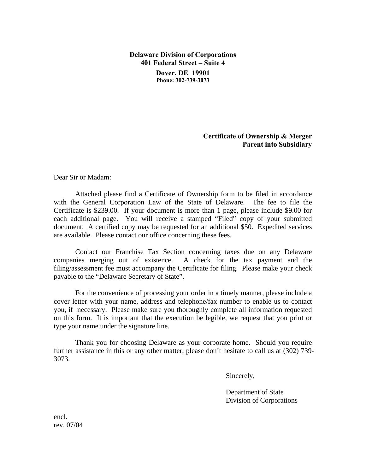**Delaware Division of Corporations 401 Federal Street – Suite 4 Dover, DE 19901 Phone: 302-739-3073**

## **Certificate of Ownership & Merger Parent into Subsidiary**

Dear Sir or Madam:

Attached please find a Certificate of Ownership form to be filed in accordance with the General Corporation Law of the State of Delaware. The fee to file the Certificate is \$239.00. If your document is more than 1 page, please include \$9.00 for each additional page. You will receive a stamped "Filed" copy of your submitted document. A certified copy may be requested for an additional \$50. Expedited services are available. Please contact our office concerning these fees.

Contact our Franchise Tax Section concerning taxes due on any Delaware companies merging out of existence. A check for the tax payment and the filing/assessment fee must accompany the Certificate for filing. Please make your check payable to the "Delaware Secretary of State".

For the convenience of processing your order in a timely manner, please include a cover letter with your name, address and telephone/fax number to enable us to contact you, if necessary. Please make sure you thoroughly complete all information requested on this form. It is important that the execution be legible, we request that you print or type your name under the signature line.

Thank you for choosing Delaware as your corporate home. Should you require further assistance in this or any other matter, please don't hesitate to call us at (302) 739- 3073.

Sincerely,

 Department of State Division of Corporations

encl. rev. 07/04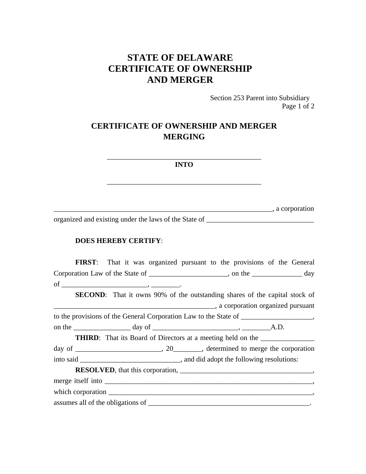## **STATE OF DELAWARE CERTIFICATE OF OWNERSHIP AND MERGER**

Section 253 Parent into Subsidiary Page 1 of 2

## **CERTIFICATE OF OWNERSHIP AND MERGER MERGING**

\_\_\_\_\_\_\_\_\_\_\_\_\_\_\_\_\_\_\_\_\_\_\_\_\_\_\_\_\_\_\_\_\_\_\_\_\_\_\_\_\_\_\_ **INTO** 

\_\_\_\_\_\_\_\_\_\_\_\_\_\_\_\_\_\_\_\_\_\_\_\_\_\_\_\_\_\_\_\_\_\_\_\_\_\_\_\_\_\_\_

 $\alpha$ , a corporation

organized and existing under the laws of the State of \_\_\_\_\_\_\_\_\_\_\_\_\_\_\_\_\_\_\_\_\_\_\_\_\_\_\_

## **DOES HEREBY CERTIFY**:

**FIRST**: That it was organized pursuant to the provisions of the General Corporation Law of the State of  $\_\_\_\_\_\_\_\_\_$ , on the  $\_\_\_\_\_\_\_$ of \_\_\_\_\_\_\_\_\_\_\_\_\_\_\_\_\_\_\_\_\_\_\_\_, \_\_\_\_\_\_\_\_. **SECOND**: That it owns 90% of the outstanding shares of the capital stock of , a corporation organized pursuant \_\_\_\_\_\_\_\_\_\_\_\_\_\_\_\_\_\_\_\_\_\_\_\_\_\_\_\_\_\_\_\_\_\_\_\_\_\_\_\_\_\_\_\_\_ to the provisions of the General Corporation Law to the State of \_\_\_\_\_\_\_\_\_\_\_\_\_\_\_\_, on the  $\_\_\_\_\_\_\_\_\_\_\_\_\_\_\_\_$  day of  $\_\_\_\_\_\_\_\_\_\_\_\_\_$ ,  $\_\_\_\_\_\_\_\_\_\_$ **THIRD:** That its Board of Directors at a meeting held on the \_\_\_\_\_\_\_\_\_\_\_\_\_\_\_\_\_\_\_ day of  $\frac{1}{20}$ , 20 , determined to merge the corporation into said \_\_\_\_\_\_\_\_\_\_\_\_\_\_\_\_\_\_\_\_\_\_\_\_\_\_\_\_\_\_\_\_\_\_, and did adopt the following resolutions: **RESOLVED**, that this corporation, \_\_\_\_\_\_\_\_\_\_\_\_\_\_\_\_\_\_\_\_\_\_\_\_\_\_\_\_\_\_\_\_\_\_\_\_\_, merge itself into \_\_\_\_\_\_\_\_\_\_\_\_\_\_\_\_\_\_\_\_\_\_\_\_\_\_\_\_\_\_\_\_\_\_\_\_\_\_\_\_\_\_\_\_\_\_\_\_\_\_\_\_\_\_\_\_\_\_, which corporation \_\_\_\_\_\_\_\_\_\_\_\_\_\_\_\_\_\_\_\_\_\_\_\_\_\_\_\_\_\_\_\_\_\_\_\_\_\_\_\_\_\_\_\_\_\_\_\_\_\_\_\_\_\_\_\_\_, assumes all of the obligations of \_\_\_\_\_\_\_\_\_\_\_\_\_\_\_\_\_\_\_\_\_\_\_\_\_\_\_\_\_\_\_\_\_\_\_\_\_\_\_\_\_\_\_\_\_.